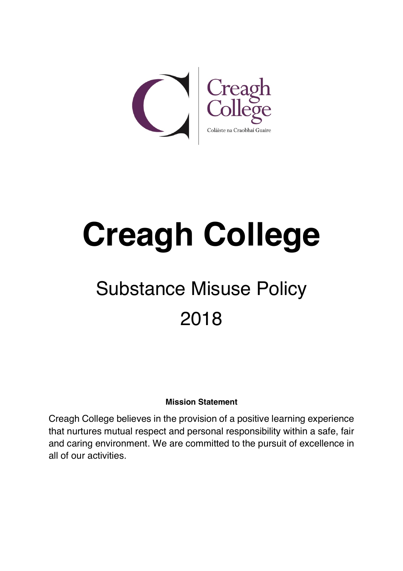

# **Creagh College**

# Substance Misuse Policy 2018

#### **Mission Statement**

Creagh College believes in the provision of a positive learning experience that nurtures mutual respect and personal responsibility within a safe, fair and caring environment. We are committed to the pursuit of excellence in all of our activities.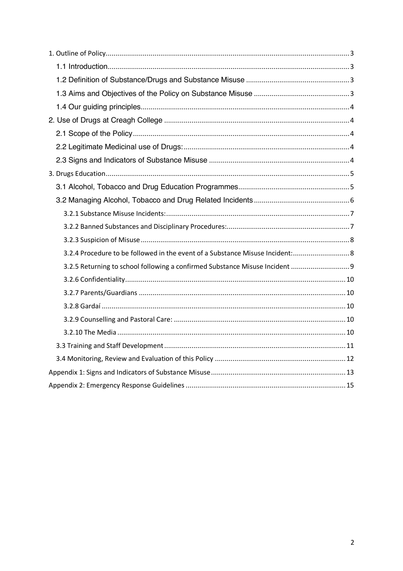| 3.2.4 Procedure to be followed in the event of a Substance Misuse Incident: 8 |
|-------------------------------------------------------------------------------|
| 3.2.5 Returning to school following a confirmed Substance Misuse Incident  9  |
|                                                                               |
|                                                                               |
|                                                                               |
|                                                                               |
|                                                                               |
|                                                                               |
|                                                                               |
|                                                                               |
|                                                                               |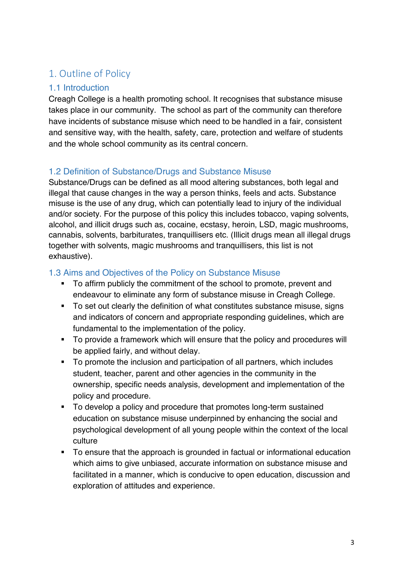# 1. Outline of Policy

#### 1.1 Introduction

Creagh College is a health promoting school. It recognises that substance misuse takes place in our community. The school as part of the community can therefore have incidents of substance misuse which need to be handled in a fair, consistent and sensitive way, with the health, safety, care, protection and welfare of students and the whole school community as its central concern.

#### 1.2 Definition of Substance/Drugs and Substance Misuse

Substance/Drugs can be defined as all mood altering substances, both legal and illegal that cause changes in the way a person thinks, feels and acts. Substance misuse is the use of any drug, which can potentially lead to injury of the individual and/or society. For the purpose of this policy this includes tobacco, vaping solvents, alcohol, and illicit drugs such as, cocaine, ecstasy, heroin, LSD, magic mushrooms, cannabis, solvents, barbiturates, tranquillisers etc. (Illicit drugs mean all illegal drugs together with solvents, magic mushrooms and tranquillisers, this list is not exhaustive).

#### 1.3 Aims and Objectives of the Policy on Substance Misuse

- § To affirm publicly the commitment of the school to promote, prevent and endeavour to eliminate any form of substance misuse in Creagh College.
- To set out clearly the definition of what constitutes substance misuse, signs and indicators of concern and appropriate responding guidelines, which are fundamental to the implementation of the policy.
- § To provide a framework which will ensure that the policy and procedures will be applied fairly, and without delay.
- § To promote the inclusion and participation of all partners, which includes student, teacher, parent and other agencies in the community in the ownership, specific needs analysis, development and implementation of the policy and procedure.
- § To develop a policy and procedure that promotes long-term sustained education on substance misuse underpinned by enhancing the social and psychological development of all young people within the context of the local culture
- To ensure that the approach is grounded in factual or informational education which aims to give unbiased, accurate information on substance misuse and facilitated in a manner, which is conducive to open education, discussion and exploration of attitudes and experience.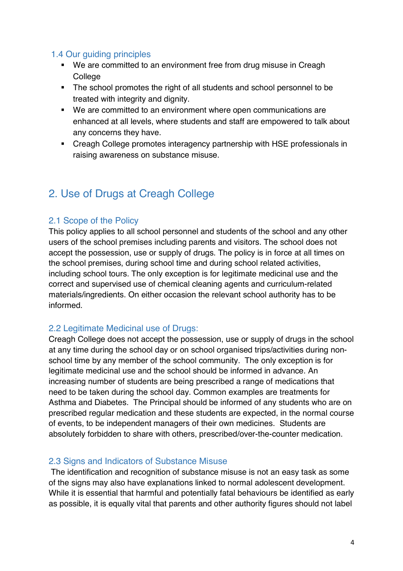#### 1.4 Our guiding principles

- We are committed to an environment free from drug misuse in Creagh College
- The school promotes the right of all students and school personnel to be treated with integrity and dignity.
- We are committed to an environment where open communications are enhanced at all levels, where students and staff are empowered to talk about any concerns they have.
- Creagh College promotes interagency partnership with HSE professionals in raising awareness on substance misuse.

# 2. Use of Drugs at Creagh College

#### 2.1 Scope of the Policy

This policy applies to all school personnel and students of the school and any other users of the school premises including parents and visitors. The school does not accept the possession, use or supply of drugs. The policy is in force at all times on the school premises, during school time and during school related activities, including school tours. The only exception is for legitimate medicinal use and the correct and supervised use of chemical cleaning agents and curriculum-related materials/ingredients. On either occasion the relevant school authority has to be informed.

#### 2.2 Legitimate Medicinal use of Drugs:

Creagh College does not accept the possession, use or supply of drugs in the school at any time during the school day or on school organised trips/activities during nonschool time by any member of the school community. The only exception is for legitimate medicinal use and the school should be informed in advance. An increasing number of students are being prescribed a range of medications that need to be taken during the school day. Common examples are treatments for Asthma and Diabetes. The Principal should be informed of any students who are on prescribed regular medication and these students are expected, in the normal course of events, to be independent managers of their own medicines. Students are absolutely forbidden to share with others, prescribed/over-the-counter medication.

#### 2.3 Signs and Indicators of Substance Misuse

The identification and recognition of substance misuse is not an easy task as some of the signs may also have explanations linked to normal adolescent development. While it is essential that harmful and potentially fatal behaviours be identified as early as possible, it is equally vital that parents and other authority figures should not label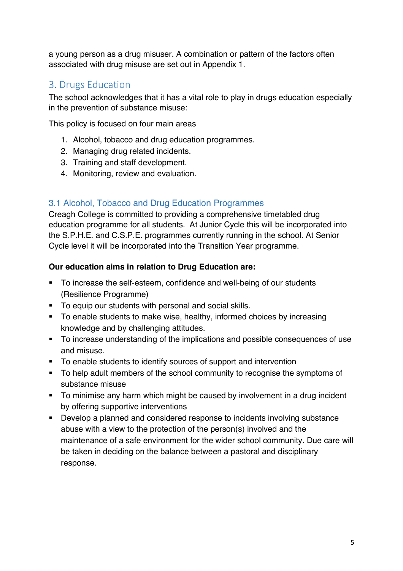a young person as a drug misuser. A combination or pattern of the factors often associated with drug misuse are set out in Appendix 1.

#### 3. Drugs Education

The school acknowledges that it has a vital role to play in drugs education especially in the prevention of substance misuse:

This policy is focused on four main areas

- 1. Alcohol, tobacco and drug education programmes.
- 2. Managing drug related incidents.
- 3. Training and staff development.
- 4. Monitoring, review and evaluation.

#### 3.1 Alcohol, Tobacco and Drug Education Programmes

Creagh College is committed to providing a comprehensive timetabled drug education programme for all students. At Junior Cycle this will be incorporated into the S.P.H.E. and C.S.P.E. programmes currently running in the school. At Senior Cycle level it will be incorporated into the Transition Year programme.

#### **Our education aims in relation to Drug Education are:**

- § To increase the self-esteem, confidence and well-being of our students (Resilience Programme)
- To equip our students with personal and social skills.
- § To enable students to make wise, healthy, informed choices by increasing knowledge and by challenging attitudes.
- § To increase understanding of the implications and possible consequences of use and misuse.
- § To enable students to identify sources of support and intervention
- § To help adult members of the school community to recognise the symptoms of substance misuse
- To minimise any harm which might be caused by involvement in a drug incident by offering supportive interventions
- Develop a planned and considered response to incidents involving substance abuse with a view to the protection of the person(s) involved and the maintenance of a safe environment for the wider school community. Due care will be taken in deciding on the balance between a pastoral and disciplinary response.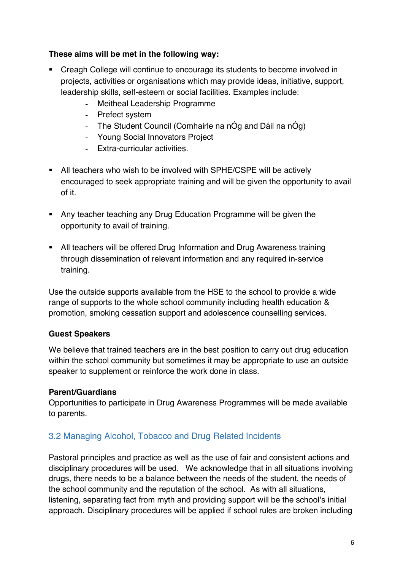#### **These aims will be met in the following way:**

- Creagh College will continue to encourage its students to become involved in projects, activities or organisations which may provide ideas, initiative, support, leadership skills, self-esteem or social facilities. Examples include:
	- Meitheal Leadership Programme
	- Prefect system
	- The Student Council (Comhairle na nÓg and Dáil na nÓg)
	- Young Social Innovators Project
	- Extra-curricular activities.
- All teachers who wish to be involved with SPHE/CSPE will be actively encouraged to seek appropriate training and will be given the opportunity to avail of it.
- Any teacher teaching any Drug Education Programme will be given the opportunity to avail of training.
- All teachers will be offered Drug Information and Drug Awareness training through dissemination of relevant information and any required in-service training.

Use the outside supports available from the HSE to the school to provide a wide range of supports to the whole school community including health education & promotion, smoking cessation support and adolescence counselling services.

#### **Guest Speakers**

We believe that trained teachers are in the best position to carry out drug education within the school community but sometimes it may be appropriate to use an outside speaker to supplement or reinforce the work done in class.

#### **Parent/Guardians**

Opportunities to participate in Drug Awareness Programmes will be made available to parents.

#### 3.2 Managing Alcohol, Tobacco and Drug Related Incidents

Pastoral principles and practice as well as the use of fair and consistent actions and disciplinary procedures will be used. We acknowledge that in all situations involving drugs, there needs to be a balance between the needs of the student, the needs of the school community and the reputation of the school. As with all situations, listening, separating fact from myth and providing support will be the school's initial approach. Disciplinary procedures will be applied if school rules are broken including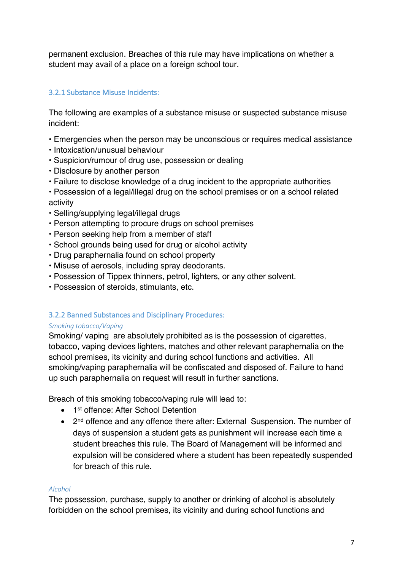permanent exclusion. Breaches of this rule may have implications on whether a student may avail of a place on a foreign school tour.

#### 3.2.1 Substance Misuse Incidents:

The following are examples of a substance misuse or suspected substance misuse incident:

- Emergencies when the person may be unconscious or requires medical assistance
- Intoxication/unusual behaviour
- Suspicion/rumour of drug use, possession or dealing
- Disclosure by another person
- Failure to disclose knowledge of a drug incident to the appropriate authorities
- Possession of a legal/illegal drug on the school premises or on a school related activity
- Selling/supplying legal/illegal drugs
- Person attempting to procure drugs on school premises
- Person seeking help from a member of staff
- School grounds being used for drug or alcohol activity
- Drug paraphernalia found on school property
- Misuse of aerosols, including spray deodorants.
- Possession of Tippex thinners, petrol, lighters, or any other solvent.
- Possession of steroids, stimulants, etc.

#### 3.2.2 Banned Substances and Disciplinary Procedures:

#### *Smoking tobacco/Vaping*

Smoking/ vaping are absolutely prohibited as is the possession of cigarettes, tobacco, vaping devices lighters, matches and other relevant paraphernalia on the school premises, its vicinity and during school functions and activities. All smoking/vaping paraphernalia will be confiscated and disposed of. Failure to hand up such paraphernalia on request will result in further sanctions.

Breach of this smoking tobacco/vaping rule will lead to:

- 1<sup>st</sup> offence: After School Detention
- 2<sup>nd</sup> offence and any offence there after: External Suspension. The number of days of suspension a student gets as punishment will increase each time a student breaches this rule. The Board of Management will be informed and expulsion will be considered where a student has been repeatedly suspended for breach of this rule.

#### *Alcohol*

The possession, purchase, supply to another or drinking of alcohol is absolutely forbidden on the school premises, its vicinity and during school functions and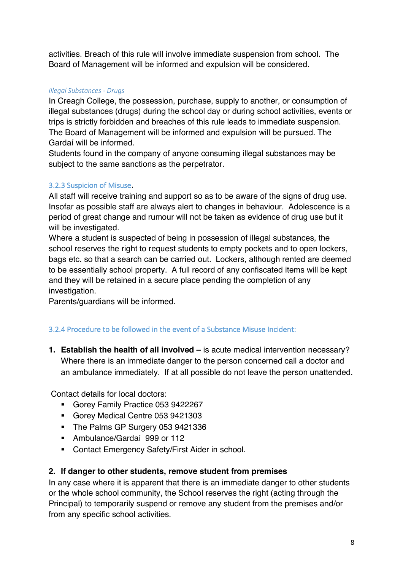activities. Breach of this rule will involve immediate suspension from school. The Board of Management will be informed and expulsion will be considered.

#### *Illegal Substances - Drugs*

In Creagh College, the possession, purchase, supply to another, or consumption of illegal substances (drugs) during the school day or during school activities, events or trips is strictly forbidden and breaches of this rule leads to immediate suspension. The Board of Management will be informed and expulsion will be pursued. The Gardaí will be informed.

Students found in the company of anyone consuming illegal substances may be subject to the same sanctions as the perpetrator.

#### 3.2.3 Suspicion of Misuse.

All staff will receive training and support so as to be aware of the signs of drug use. Insofar as possible staff are always alert to changes in behaviour. Adolescence is a period of great change and rumour will not be taken as evidence of drug use but it will be investigated.

Where a student is suspected of being in possession of illegal substances, the school reserves the right to request students to empty pockets and to open lockers, bags etc. so that a search can be carried out. Lockers, although rented are deemed to be essentially school property. A full record of any confiscated items will be kept and they will be retained in a secure place pending the completion of any investigation.

Parents/guardians will be informed.

#### 3.2.4 Procedure to be followed in the event of a Substance Misuse Incident:

**1. Establish the health of all involved –** is acute medical intervention necessary? Where there is an immediate danger to the person concerned call a doctor and an ambulance immediately. If at all possible do not leave the person unattended.

Contact details for local doctors:

- § Gorey Family Practice 053 9422267
- § Gorey Medical Centre 053 9421303
- The Palms GP Surgery 053 9421336
- Ambulance/Gardaí 999 or 112
- Contact Emergency Safety/First Aider in school.

#### **2. If danger to other students, remove student from premises**

In any case where it is apparent that there is an immediate danger to other students or the whole school community, the School reserves the right (acting through the Principal) to temporarily suspend or remove any student from the premises and/or from any specific school activities.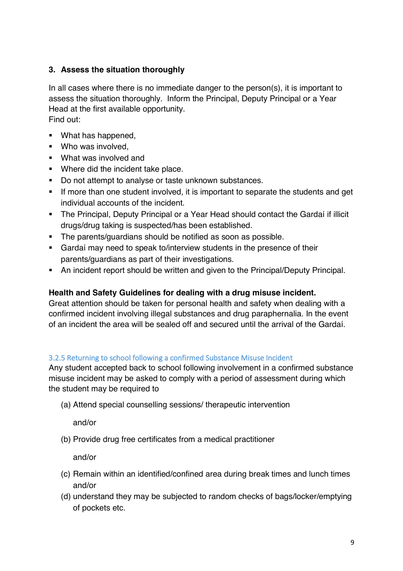#### **3. Assess the situation thoroughly**

In all cases where there is no immediate danger to the person(s), it is important to assess the situation thoroughly. Inform the Principal, Deputy Principal or a Year Head at the first available opportunity. Find out:

- What has happened,
- Who was involved.
- What was involved and
- Where did the incident take place.
- Do not attempt to analyse or taste unknown substances.
- If more than one student involved, it is important to separate the students and get individual accounts of the incident.
- The Principal, Deputy Principal or a Year Head should contact the Gardaí if illicit drugs/drug taking is suspected/has been established.
- § The parents/guardians should be notified as soon as possible.
- Gardaí may need to speak to/interview students in the presence of their parents/guardians as part of their investigations.
- An incident report should be written and given to the Principal/Deputy Principal.

#### **Health and Safety Guidelines for dealing with a drug misuse incident.**

Great attention should be taken for personal health and safety when dealing with a confirmed incident involving illegal substances and drug paraphernalia. In the event of an incident the area will be sealed off and secured until the arrival of the Gardaí.

#### 3.2.5 Returning to school following a confirmed Substance Misuse Incident

Any student accepted back to school following involvement in a confirmed substance misuse incident may be asked to comply with a period of assessment during which the student may be required to

(a) Attend special counselling sessions/ therapeutic intervention

and/or

(b) Provide drug free certificates from a medical practitioner

and/or

- (c) Remain within an identified/confined area during break times and lunch times and/or
- (d) understand they may be subjected to random checks of bags/locker/emptying of pockets etc.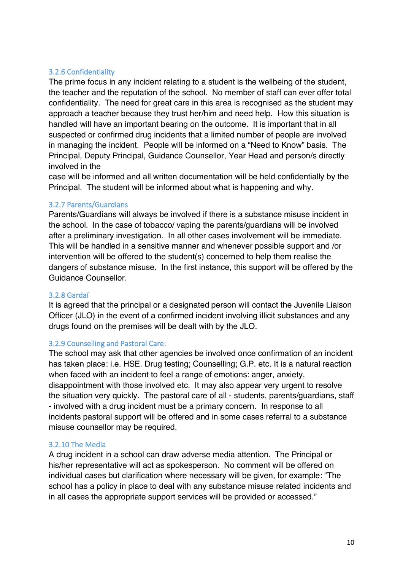#### 3.2.6 Confidentiality

The prime focus in any incident relating to a student is the wellbeing of the student, the teacher and the reputation of the school. No member of staff can ever offer total confidentiality. The need for great care in this area is recognised as the student may approach a teacher because they trust her/him and need help. How this situation is handled will have an important bearing on the outcome. It is important that in all suspected or confirmed drug incidents that a limited number of people are involved in managing the incident. People will be informed on a "Need to Know" basis. The Principal, Deputy Principal, Guidance Counsellor, Year Head and person/s directly involved in the

case will be informed and all written documentation will be held confidentially by the Principal. The student will be informed about what is happening and why.

#### 3.2.7 Parents/Guardians

Parents/Guardians will always be involved if there is a substance misuse incident in the school. In the case of tobacco/ vaping the parents/guardians will be involved after a preliminary investigation. In all other cases involvement will be immediate. This will be handled in a sensitive manner and whenever possible support and /or intervention will be offered to the student(s) concerned to help them realise the dangers of substance misuse. In the first instance, this support will be offered by the Guidance Counsellor.

#### 3.2.8 Gardaí

It is agreed that the principal or a designated person will contact the Juvenile Liaison Officer (JLO) in the event of a confirmed incident involving illicit substances and any drugs found on the premises will be dealt with by the JLO.

#### 3.2.9 Counselling and Pastoral Care:

The school may ask that other agencies be involved once confirmation of an incident has taken place: i.e. HSE. Drug testing; Counselling; G.P. etc. It is a natural reaction when faced with an incident to feel a range of emotions: anger, anxiety, disappointment with those involved etc. It may also appear very urgent to resolve the situation very quickly. The pastoral care of all - students, parents/guardians, staff - involved with a drug incident must be a primary concern. In response to all incidents pastoral support will be offered and in some cases referral to a substance misuse counsellor may be required.

#### 3.2.10 The Media

A drug incident in a school can draw adverse media attention. The Principal or his/her representative will act as spokesperson. No comment will be offered on individual cases but clarification where necessary will be given, for example: "The school has a policy in place to deal with any substance misuse related incidents and in all cases the appropriate support services will be provided or accessed."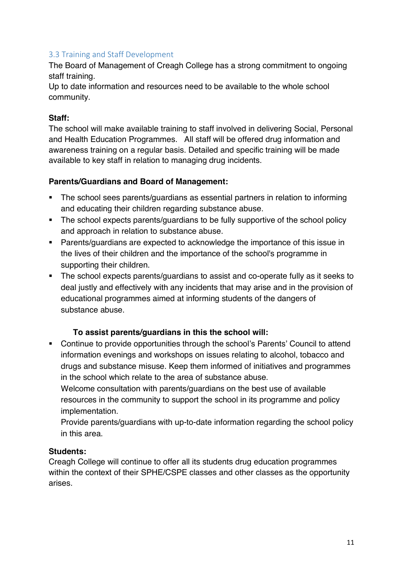#### 3.3 Training and Staff Development

The Board of Management of Creagh College has a strong commitment to ongoing staff training.

Up to date information and resources need to be available to the whole school community.

#### **Staff:**

The school will make available training to staff involved in delivering Social, Personal and Health Education Programmes. All staff will be offered drug information and awareness training on a regular basis. Detailed and specific training will be made available to key staff in relation to managing drug incidents.

#### **Parents/Guardians and Board of Management:**

- § The school sees parents/guardians as essential partners in relation to informing and educating their children regarding substance abuse.
- The school expects parents/guardians to be fully supportive of the school policy and approach in relation to substance abuse.
- Parents/guardians are expected to acknowledge the importance of this issue in the lives of their children and the importance of the school's programme in supporting their children.
- The school expects parents/quardians to assist and co-operate fully as it seeks to deal justly and effectively with any incidents that may arise and in the provision of educational programmes aimed at informing students of the dangers of substance abuse.

#### **To assist parents/guardians in this the school will:**

■ Continue to provide opportunities through the school's Parents' Council to attend information evenings and workshops on issues relating to alcohol, tobacco and drugs and substance misuse. Keep them informed of initiatives and programmes in the school which relate to the area of substance abuse.

Welcome consultation with parents/guardians on the best use of available resources in the community to support the school in its programme and policy implementation.

Provide parents/guardians with up-to-date information regarding the school policy in this area.

#### **Students:**

Creagh College will continue to offer all its students drug education programmes within the context of their SPHE/CSPE classes and other classes as the opportunity arises.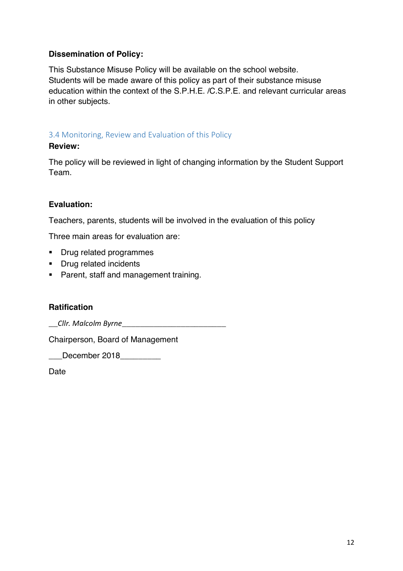#### **Dissemination of Policy:**

This Substance Misuse Policy will be available on the school website. Students will be made aware of this policy as part of their substance misuse education within the context of the S.P.H.E. /C.S.P.E. and relevant curricular areas in other subjects.

#### 3.4 Monitoring, Review and Evaluation of this Policy

#### **Review:**

The policy will be reviewed in light of changing information by the Student Support Team.

#### **Evaluation:**

Teachers, parents, students will be involved in the evaluation of this policy

Three main areas for evaluation are:

- Drug related programmes
- Drug related incidents
- Parent, staff and management training.

#### **Ratification**

Chairperson, Board of Management

\_\_\_December 2018\_\_\_\_\_\_\_\_\_

**Date**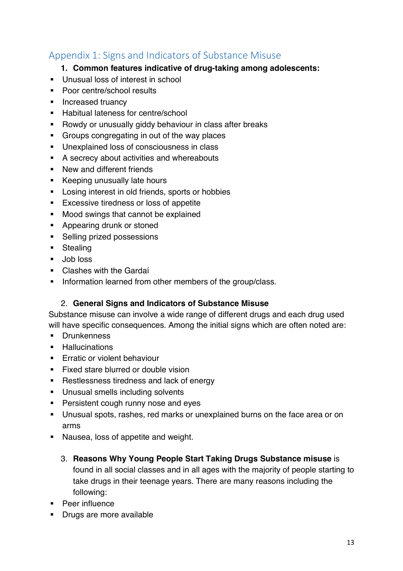### Appendix 1: Signs and Indicators of Substance Misuse

#### **1. Common features indicative of drug-taking among adolescents:**

- Unusual loss of interest in school
- Poor centre/school results
- Increased truancy
- Habitual lateness for centre/school
- Rowdy or unusually giddy behaviour in class after breaks
- Groups congregating in out of the way places
- Unexplained loss of consciousness in class
- A secrecy about activities and whereabouts
- New and different friends
- Keeping unusually late hours
- Losing interest in old friends, sports or hobbies
- Excessive tiredness or loss of appetite
- Mood swings that cannot be explained
- Appearing drunk or stoned
- Selling prized possessions
- Stealing
- Job loss
- Clashes with the Gardaí
- Information learned from other members of the group/class.

#### 2. **General Signs and Indicators of Substance Misuse**

Substance misuse can involve a wide range of different drugs and each drug used will have specific consequences. Among the initial signs which are often noted are:

- § Drunkenness
- Hallucinations
- **Erratic or violent behaviour**
- Fixed stare blurred or double vision
- Restlessness tiredness and lack of energy
- Unusual smells including solvents
- Persistent cough runny nose and eyes
- § Unusual spots, rashes, red marks or unexplained burns on the face area or on arms
- Nausea, loss of appetite and weight.
	- 3. **Reasons Why Young People Start Taking Drugs Substance misuse** is found in all social classes and in all ages with the majority of people starting to take drugs in their teenage years. There are many reasons including the following:
- § Peer influence
- Drugs are more available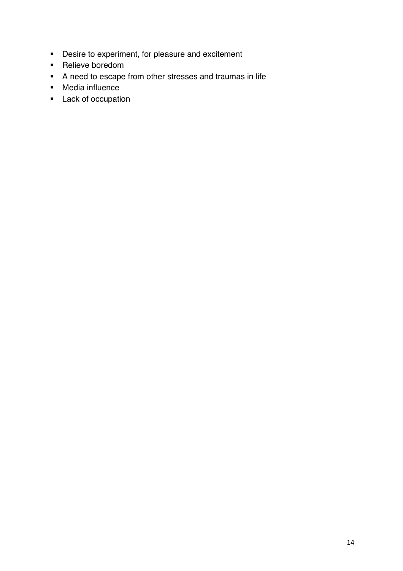- Desire to experiment, for pleasure and excitement
- Relieve boredom
- § A need to escape from other stresses and traumas in life
- § Media influence
- Lack of occupation